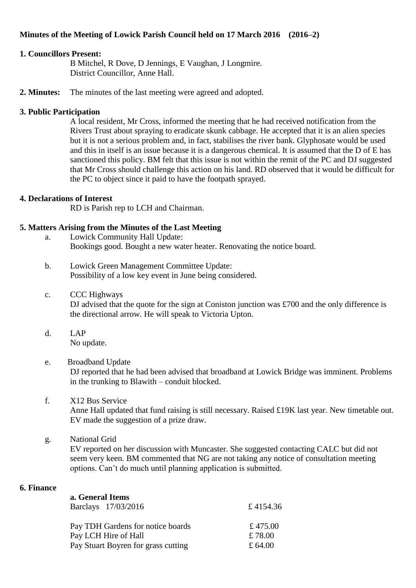# **Minutes of the Meeting of Lowick Parish Council held on 17 March 2016 (2016–2)**

# **1. Councillors Present:**

B Mitchel, R Dove, D Jennings, E Vaughan, J Longmire. District Councillor, Anne Hall.

**2. Minutes:** The minutes of the last meeting were agreed and adopted.

# **3. Public Participation**

A local resident, Mr Cross, informed the meeting that he had received notification from the Rivers Trust about spraying to eradicate skunk cabbage. He accepted that it is an alien species but it is not a serious problem and, in fact, stabilises the river bank. Glyphosate would be used and this in itself is an issue because it is a dangerous chemical. It is assumed that the D of E has sanctioned this policy. BM felt that this issue is not within the remit of the PC and DJ suggested that Mr Cross should challenge this action on his land. RD observed that it would be difficult for the PC to object since it paid to have the footpath sprayed.

# **4. Declarations of Interest**

RD is Parish rep to LCH and Chairman.

# **5. Matters Arising from the Minutes of the Last Meeting**

- a. Lowick Community Hall Update: Bookings good. Bought a new water heater. Renovating the notice board.
- b. Lowick Green Management Committee Update: Possibility of a low key event in June being considered.
- c. CCC Highways DJ advised that the quote for the sign at Coniston junction was £700 and the only difference is the directional arrow. He will speak to Victoria Upton.
- d. LAP No update.
- e. Broadband Update DJ reported that he had been advised that broadband at Lowick Bridge was imminent. Problems in the trunking to Blawith – conduit blocked.
- f. X12 Bus Service Anne Hall updated that fund raising is still necessary. Raised £19K last year. New timetable out. EV made the suggestion of a prize draw.

# g. National Grid

EV reported on her discussion with Muncaster. She suggested contacting CALC but did not seem very keen. BM commented that NG are not taking any notice of consultation meeting options. Can't do much until planning application is submitted.

# **6. Finance**

| a. General Items<br>Barclays 17/03/2016 | £4154.36  |
|-----------------------------------------|-----------|
| Pay TDH Gardens for notice boards       | £ 475.00  |
| Pay LCH Hire of Hall                    | £78.00    |
| Pay Stuart Boyren for grass cutting     | £ $64.00$ |